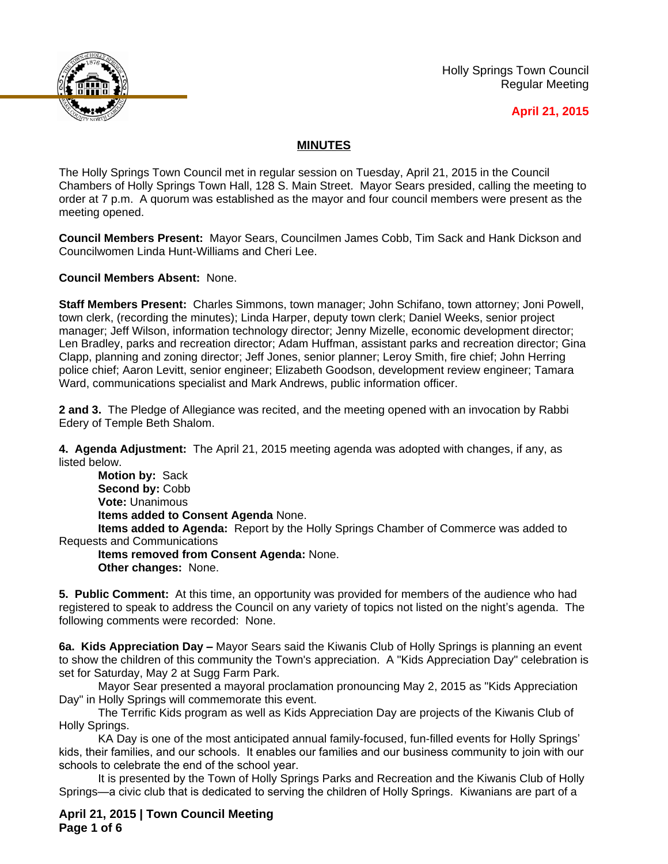

Holly Springs Town Council Regular Meeting

## **April 21, 2015**

## **MINUTES**

The Holly Springs Town Council met in regular session on Tuesday, April 21, 2015 in the Council Chambers of Holly Springs Town Hall, 128 S. Main Street. Mayor Sears presided, calling the meeting to order at 7 p.m. A quorum was established as the mayor and four council members were present as the meeting opened.

**Council Members Present:** Mayor Sears, Councilmen James Cobb, Tim Sack and Hank Dickson and Councilwomen Linda Hunt-Williams and Cheri Lee.

**Council Members Absent:** None.

**Staff Members Present:** Charles Simmons, town manager; John Schifano, town attorney; Joni Powell, town clerk, (recording the minutes); Linda Harper, deputy town clerk; Daniel Weeks, senior project manager; Jeff Wilson, information technology director; Jenny Mizelle, economic development director; Len Bradley, parks and recreation director; Adam Huffman, assistant parks and recreation director; Gina Clapp, planning and zoning director; Jeff Jones, senior planner; Leroy Smith, fire chief; John Herring police chief; Aaron Levitt, senior engineer; Elizabeth Goodson, development review engineer; Tamara Ward, communications specialist and Mark Andrews, public information officer.

**2 and 3.** The Pledge of Allegiance was recited, and the meeting opened with an invocation by Rabbi Edery of Temple Beth Shalom.

**4. Agenda Adjustment:** The April 21, 2015 meeting agenda was adopted with changes, if any, as listed below.

**Motion by:** Sack **Second by:** Cobb **Vote:** Unanimous **Items added to Consent Agenda** None.

**Items added to Agenda:** Report by the Holly Springs Chamber of Commerce was added to Requests and Communications

**Items removed from Consent Agenda:** None. **Other changes:** None.

**5. Public Comment:** At this time, an opportunity was provided for members of the audience who had registered to speak to address the Council on any variety of topics not listed on the night's agenda. The following comments were recorded: None.

**6a. Kids Appreciation Day –** Mayor Sears said the Kiwanis Club of Holly Springs is planning an event to show the children of this community the Town's appreciation. A "Kids Appreciation Day" celebration is set for Saturday, May 2 at Sugg Farm Park.

Mayor Sear presented a mayoral proclamation pronouncing May 2, 2015 as "Kids Appreciation Day" in Holly Springs will commemorate this event.

The Terrific Kids program as well as Kids Appreciation Day are projects of the Kiwanis Club of Holly Springs.

KA Day is one of the most anticipated annual family-focused, fun-filled events for Holly Springs' kids, their families, and our schools. It enables our families and our business community to join with our schools to celebrate the end of the school year.

It is presented by the Town of Holly Springs Parks and Recreation and the Kiwanis Club of Holly Springs—a civic club that is dedicated to serving the children of Holly Springs. Kiwanians are part of a

**April 21, 2015 | Town Council Meeting Page 1 of 6**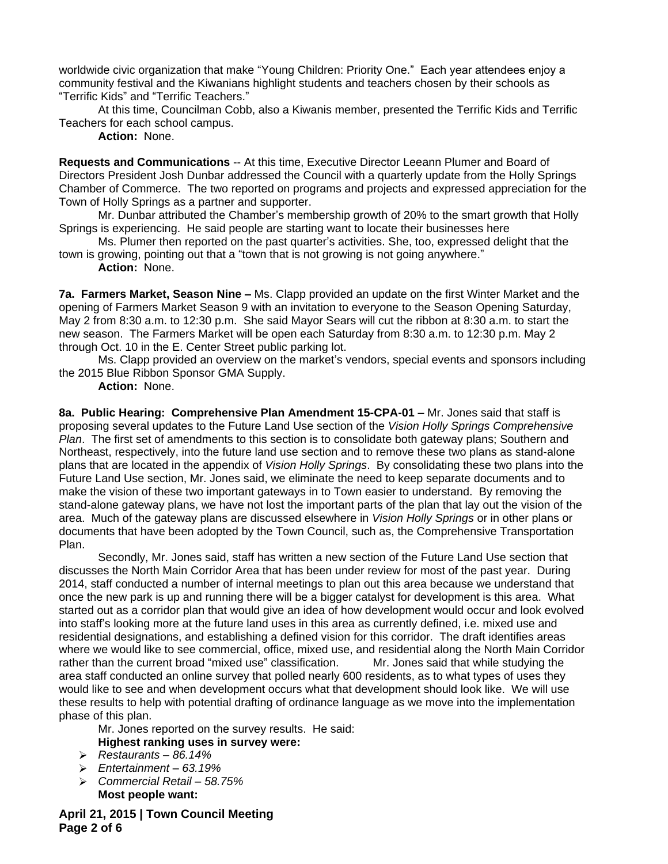worldwide civic organization that make "Young Children: Priority One." Each year attendees enjoy a community festival and the Kiwanians highlight students and teachers chosen by their schools as "Terrific Kids" and "Terrific Teachers."

At this time, Councilman Cobb, also a Kiwanis member, presented the Terrific Kids and Terrific Teachers for each school campus.

**Action:** None.

**Requests and Communications** -- At this time, Executive Director Leeann Plumer and Board of Directors President Josh Dunbar addressed the Council with a quarterly update from the Holly Springs Chamber of Commerce. The two reported on programs and projects and expressed appreciation for the Town of Holly Springs as a partner and supporter.

Mr. Dunbar attributed the Chamber's membership growth of 20% to the smart growth that Holly Springs is experiencing. He said people are starting want to locate their businesses here

Ms. Plumer then reported on the past quarter's activities. She, too, expressed delight that the town is growing, pointing out that a "town that is not growing is not going anywhere."

**Action:** None.

**7a. Farmers Market, Season Nine –** Ms. Clapp provided an update on the first Winter Market and the opening of Farmers Market Season 9 with an invitation to everyone to the Season Opening Saturday, May 2 from 8:30 a.m. to 12:30 p.m. She said Mayor Sears will cut the ribbon at 8:30 a.m. to start the new season. The Farmers Market will be open each Saturday from 8:30 a.m. to 12:30 p.m. May 2 through Oct. 10 in the E. Center Street public parking lot.

Ms. Clapp provided an overview on the market's vendors, special events and sponsors including the 2015 Blue Ribbon Sponsor GMA Supply.

**Action:** None.

**8a. Public Hearing: Comprehensive Plan Amendment 15-CPA-01 – Mr. Jones said that staff is** proposing several updates to the Future Land Use section of the *Vision Holly Springs Comprehensive Plan*. The first set of amendments to this section is to consolidate both gateway plans; Southern and Northeast, respectively, into the future land use section and to remove these two plans as stand-alone plans that are located in the appendix of *Vision Holly Springs*. By consolidating these two plans into the Future Land Use section, Mr. Jones said, we eliminate the need to keep separate documents and to make the vision of these two important gateways in to Town easier to understand. By removing the stand-alone gateway plans, we have not lost the important parts of the plan that lay out the vision of the area. Much of the gateway plans are discussed elsewhere in *Vision Holly Springs* or in other plans or documents that have been adopted by the Town Council, such as, the Comprehensive Transportation Plan.

Secondly, Mr. Jones said, staff has written a new section of the Future Land Use section that discusses the North Main Corridor Area that has been under review for most of the past year. During 2014, staff conducted a number of internal meetings to plan out this area because we understand that once the new park is up and running there will be a bigger catalyst for development is this area. What started out as a corridor plan that would give an idea of how development would occur and look evolved into staff's looking more at the future land uses in this area as currently defined, i.e. mixed use and residential designations, and establishing a defined vision for this corridor. The draft identifies areas where we would like to see commercial, office, mixed use, and residential along the North Main Corridor rather than the current broad "mixed use" classification. Mr. Jones said that while studying the area staff conducted an online survey that polled nearly 600 residents, as to what types of uses they would like to see and when development occurs what that development should look like. We will use these results to help with potential drafting of ordinance language as we move into the implementation phase of this plan.

Mr. Jones reported on the survey results. He said: **Highest ranking uses in survey were:**

- *Restaurants – 86.14%*
- *Entertainment – 63.19%*
- *Commercial Retail – 58.75%* **Most people want:**

**April 21, 2015 | Town Council Meeting Page 2 of 6**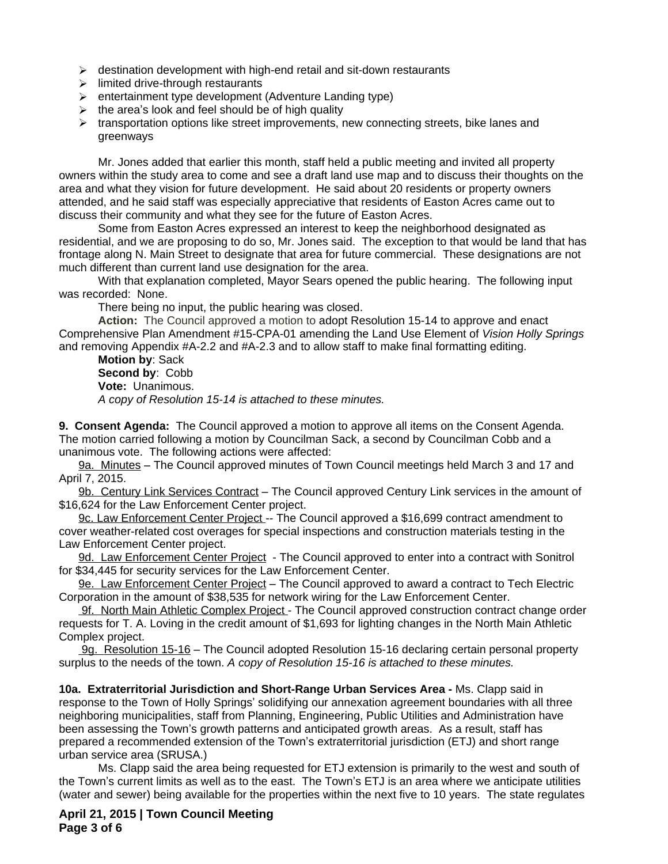- $\triangleright$  destination development with high-end retail and sit-down restaurants
- $\triangleright$  limited drive-through restaurants
- $\triangleright$  entertainment type development (Adventure Landing type)
- $\triangleright$  the area's look and feel should be of high quality
- $\triangleright$  transportation options like street improvements, new connecting streets, bike lanes and greenways

Mr. Jones added that earlier this month, staff held a public meeting and invited all property owners within the study area to come and see a draft land use map and to discuss their thoughts on the area and what they vision for future development. He said about 20 residents or property owners attended, and he said staff was especially appreciative that residents of Easton Acres came out to discuss their community and what they see for the future of Easton Acres.

Some from Easton Acres expressed an interest to keep the neighborhood designated as residential, and we are proposing to do so, Mr. Jones said. The exception to that would be land that has frontage along N. Main Street to designate that area for future commercial. These designations are not much different than current land use designation for the area.

With that explanation completed, Mayor Sears opened the public hearing. The following input was recorded: None.

There being no input, the public hearing was closed.

**Action:** The Council approved a motion to adopt Resolution 15-14 to approve and enact Comprehensive Plan Amendment #15-CPA-01 amending the Land Use Element of *Vision Holly Springs* and removing Appendix #A-2.2 and #A-2.3 and to allow staff to make final formatting editing.

**Motion by**: Sack **Second by**: Cobb **Vote:** Unanimous. *A copy of Resolution 15-14 is attached to these minutes.*

**9. Consent Agenda:** The Council approved a motion to approve all items on the Consent Agenda. The motion carried following a motion by Councilman Sack, a second by Councilman Cobb and a unanimous vote. The following actions were affected:

9a. Minutes – The Council approved minutes of Town Council meetings held March 3 and 17 and April 7, 2015.

9b. Century Link Services Contract – The Council approved Century Link services in the amount of \$16,624 for the Law Enforcement Center project.

9c. Law Enforcement Center Project -- The Council approved a \$16,699 contract amendment to cover weather-related cost overages for special inspections and construction materials testing in the Law Enforcement Center project.

9d. Law Enforcement Center Project - The Council approved to enter into a contract with Sonitrol for \$34,445 for security services for the Law Enforcement Center.

9e. Law Enforcement Center Project – The Council approved to award a contract to Tech Electric Corporation in the amount of \$38,535 for network wiring for the Law Enforcement Center.

 9f. North Main Athletic Complex Project - The Council approved construction contract change order requests for T. A. Loving in the credit amount of \$1,693 for lighting changes in the North Main Athletic Complex project.

9g. Resolution 15-16 – The Council adopted Resolution 15-16 declaring certain personal property surplus to the needs of the town. *A copy of Resolution 15-16 is attached to these minutes.*

**10a. Extraterritorial Jurisdiction and Short-Range Urban Services Area -** Ms. Clapp said in response to the Town of Holly Springs' solidifying our annexation agreement boundaries with all three neighboring municipalities, staff from Planning, Engineering, Public Utilities and Administration have been assessing the Town's growth patterns and anticipated growth areas. As a result, staff has prepared a recommended extension of the Town's extraterritorial jurisdiction (ETJ) and short range urban service area (SRUSA.)

Ms. Clapp said the area being requested for ETJ extension is primarily to the west and south of the Town's current limits as well as to the east. The Town's ETJ is an area where we anticipate utilities (water and sewer) being available for the properties within the next five to 10 years. The state regulates

**April 21, 2015 | Town Council Meeting Page 3 of 6**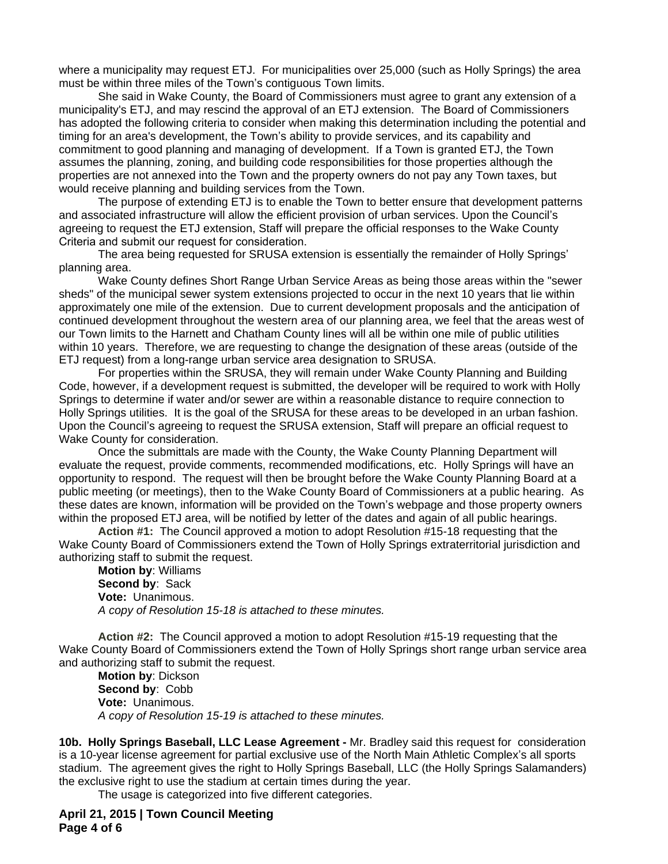where a municipality may request ETJ. For municipalities over 25,000 (such as Holly Springs) the area must be within three miles of the Town's contiguous Town limits.

She said in Wake County, the Board of Commissioners must agree to grant any extension of a municipality's ETJ, and may rescind the approval of an ETJ extension. The Board of Commissioners has adopted the following criteria to consider when making this determination including the potential and timing for an area's development, the Town's ability to provide services, and its capability and commitment to good planning and managing of development. If a Town is granted ETJ, the Town assumes the planning, zoning, and building code responsibilities for those properties although the properties are not annexed into the Town and the property owners do not pay any Town taxes, but would receive planning and building services from the Town.

 The purpose of extending ETJ is to enable the Town to better ensure that development patterns and associated infrastructure will allow the efficient provision of urban services. Upon the Council's agreeing to request the ETJ extension, Staff will prepare the official responses to the Wake County Criteria and submit our request for consideration.

The area being requested for SRUSA extension is essentially the remainder of Holly Springs' planning area.

Wake County defines Short Range Urban Service Areas as being those areas within the "sewer sheds" of the municipal sewer system extensions projected to occur in the next 10 years that lie within approximately one mile of the extension. Due to current development proposals and the anticipation of continued development throughout the western area of our planning area, we feel that the areas west of our Town limits to the Harnett and Chatham County lines will all be within one mile of public utilities within 10 years. Therefore, we are requesting to change the designation of these areas (outside of the ETJ request) from a long-range urban service area designation to SRUSA.

For properties within the SRUSA, they will remain under Wake County Planning and Building Code, however, if a development request is submitted, the developer will be required to work with Holly Springs to determine if water and/or sewer are within a reasonable distance to require connection to Holly Springs utilities. It is the goal of the SRUSA for these areas to be developed in an urban fashion. Upon the Council's agreeing to request the SRUSA extension, Staff will prepare an official request to Wake County for consideration.

Once the submittals are made with the County, the Wake County Planning Department will evaluate the request, provide comments, recommended modifications, etc. Holly Springs will have an opportunity to respond. The request will then be brought before the Wake County Planning Board at a public meeting (or meetings), then to the Wake County Board of Commissioners at a public hearing. As these dates are known, information will be provided on the Town's webpage and those property owners within the proposed ETJ area, will be notified by letter of the dates and again of all public hearings.

**Action #1:** The Council approved a motion to adopt Resolution #15-18 requesting that the Wake County Board of Commissioners extend the Town of Holly Springs extraterritorial jurisdiction and authorizing staff to submit the request.

**Motion by**: Williams **Second by**: Sack **Vote:** Unanimous. *A copy of Resolution 15-18 is attached to these minutes.*

**Action #2:** The Council approved a motion to adopt Resolution #15-19 requesting that the Wake County Board of Commissioners extend the Town of Holly Springs short range urban service area and authorizing staff to submit the request.

**Motion by**: Dickson **Second by**: Cobb **Vote:** Unanimous. *A copy of Resolution 15-19 is attached to these minutes.*

**10b. Holly Springs Baseball, LLC Lease Agreement -** Mr. Bradley said this request for consideration is a 10-year license agreement for partial exclusive use of the North Main Athletic Complex's all sports stadium. The agreement gives the right to Holly Springs Baseball, LLC (the Holly Springs Salamanders) the exclusive right to use the stadium at certain times during the year.

The usage is categorized into five different categories.

**April 21, 2015 | Town Council Meeting Page 4 of 6**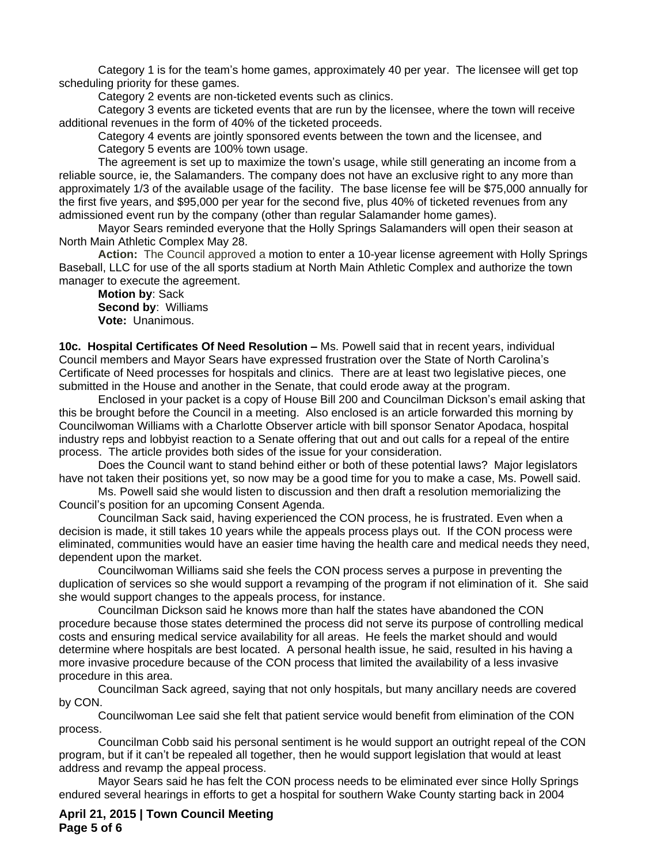Category 1 is for the team's home games, approximately 40 per year. The licensee will get top scheduling priority for these games.

Category 2 events are non-ticketed events such as clinics.

Category 3 events are ticketed events that are run by the licensee, where the town will receive additional revenues in the form of 40% of the ticketed proceeds.

Category 4 events are jointly sponsored events between the town and the licensee, and Category 5 events are 100% town usage.

The agreement is set up to maximize the town's usage, while still generating an income from a reliable source, ie, the Salamanders. The company does not have an exclusive right to any more than approximately 1/3 of the available usage of the facility. The base license fee will be \$75,000 annually for the first five years, and \$95,000 per year for the second five, plus 40% of ticketed revenues from any admissioned event run by the company (other than regular Salamander home games).

Mayor Sears reminded everyone that the Holly Springs Salamanders will open their season at North Main Athletic Complex May 28.

**Action:** The Council approved a motion to enter a 10-year license agreement with Holly Springs Baseball, LLC for use of the all sports stadium at North Main Athletic Complex and authorize the town manager to execute the agreement.

**Motion by**: Sack **Second by**: Williams **Vote:** Unanimous.

**10c. Hospital Certificates Of Need Resolution –** Ms. Powell said that in recent years, individual Council members and Mayor Sears have expressed frustration over the State of North Carolina's Certificate of Need processes for hospitals and clinics. There are at least two legislative pieces, one submitted in the House and another in the Senate, that could erode away at the program.

Enclosed in your packet is a copy of House Bill 200 and Councilman Dickson's email asking that this be brought before the Council in a meeting. Also enclosed is an article forwarded this morning by Councilwoman Williams with a Charlotte Observer article with bill sponsor Senator Apodaca, hospital industry reps and lobbyist reaction to a Senate offering that out and out calls for a repeal of the entire process. The article provides both sides of the issue for your consideration.

Does the Council want to stand behind either or both of these potential laws? Major legislators have not taken their positions yet, so now may be a good time for you to make a case, Ms. Powell said.

Ms. Powell said she would listen to discussion and then draft a resolution memorializing the Council's position for an upcoming Consent Agenda.

Councilman Sack said, having experienced the CON process, he is frustrated. Even when a decision is made, it still takes 10 years while the appeals process plays out. If the CON process were eliminated, communities would have an easier time having the health care and medical needs they need, dependent upon the market.

Councilwoman Williams said she feels the CON process serves a purpose in preventing the duplication of services so she would support a revamping of the program if not elimination of it. She said she would support changes to the appeals process, for instance.

Councilman Dickson said he knows more than half the states have abandoned the CON procedure because those states determined the process did not serve its purpose of controlling medical costs and ensuring medical service availability for all areas. He feels the market should and would determine where hospitals are best located. A personal health issue, he said, resulted in his having a more invasive procedure because of the CON process that limited the availability of a less invasive procedure in this area.

Councilman Sack agreed, saying that not only hospitals, but many ancillary needs are covered by CON.

Councilwoman Lee said she felt that patient service would benefit from elimination of the CON process.

Councilman Cobb said his personal sentiment is he would support an outright repeal of the CON program, but if it can't be repealed all together, then he would support legislation that would at least address and revamp the appeal process.

Mayor Sears said he has felt the CON process needs to be eliminated ever since Holly Springs endured several hearings in efforts to get a hospital for southern Wake County starting back in 2004

**April 21, 2015 | Town Council Meeting Page 5 of 6**